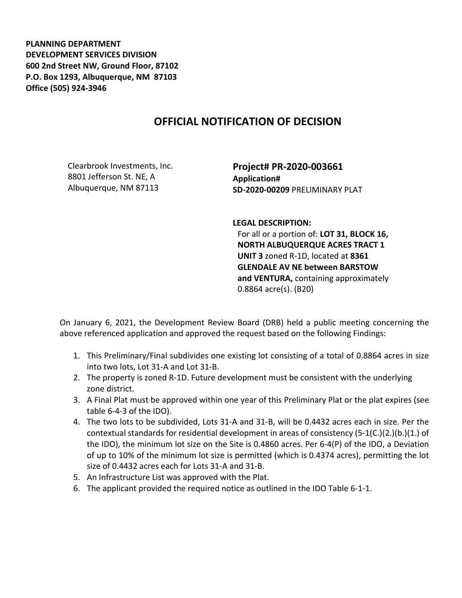**PLANNING DEPARTMENT DEVELOPMENT SERVICES DIVISION 600 2nd Street NW, Ground Floor, 87102 P.O. Box 1293, Albuquerque, NM 87103 Office (505) 924-3946** 

## **OFFICIAL NOTIFICATION OF DECISION**

Clearbrook Investments, Inc. 8801 Jefferson St. NE, A Albuquerque, NM 87113

**Project# PR-2020-003661 Application# SD-2020-00209** PRELIMINARY PLAT

**LEGAL DESCRIPTION:**

For all or a portion of: **LOT 31, BLOCK 16, NORTH ALBUQUERQUE ACRES TRACT 1 UNIT 3** zoned R-1D, located at **8361 GLENDALE AV NE between BARSTOW and VENTURA,** containing approximately 0.8864 acre(s). (B20)

On January 6, 2021, the Development Review Board (DRB) held a public meeting concerning the above referenced application and approved the request based on the following Findings:

- 1. This Preliminary/Final subdivides one existing lot consisting of a total of 0.8864 acres in size into two lots, Lot 31-A and Lot 31-B.
- 2. The property is zoned R-1D. Future development must be consistent with the underlying zone district.
- 3. A Final Plat must be approved within one year of this Preliminary Plat or the plat expires (see table 6-4-3 of the IDO).
- 4. The two lots to be subdivided, Lots 31-A and 31-B, will be 0.4432 acres each in size. Per the contextual standards for residential development in areas of consistency (5-1(C.)(2.)(b.)(1.) of the IDO), the minimum lot size on the Site is 0.4860 acres. Per 6-4(P) of the IDO, a Deviation of up to 10% of the minimum lot size is permitted (which is 0.4374 acres), permitting the lot size of 0.4432 acres each for Lots 31-A and 31-B.
- 5. An Infrastructure List was approved with the Plat.
- 6. The applicant provided the required notice as outlined in the IDO Table 6-1-1.